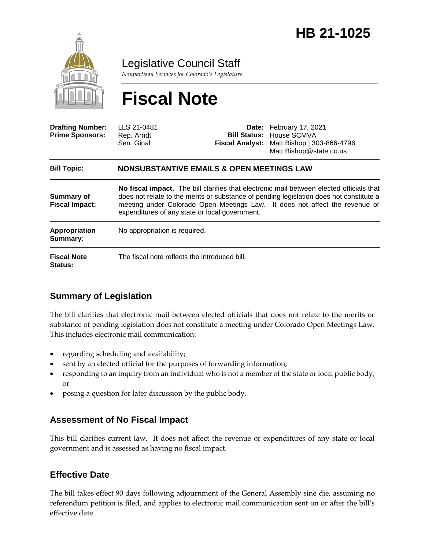

Legislative Council Staff

*Nonpartisan Services for Colorado's Legislature*

# **Fiscal Note**

| <b>Drafting Number:</b><br><b>Prime Sponsors:</b> | LLS 21-0481<br>Rep. Arndt<br>Sen. Ginal                                                                                                                                                                                                                                                                              |  | Date: February 17, 2021<br><b>Bill Status: House SCMVA</b><br>Fiscal Analyst: Matt Bishop   303-866-4796<br>Matt.Bishop@state.co.us |
|---------------------------------------------------|----------------------------------------------------------------------------------------------------------------------------------------------------------------------------------------------------------------------------------------------------------------------------------------------------------------------|--|-------------------------------------------------------------------------------------------------------------------------------------|
| <b>Bill Topic:</b>                                | <b>NONSUBSTANTIVE EMAILS &amp; OPEN MEETINGS LAW</b>                                                                                                                                                                                                                                                                 |  |                                                                                                                                     |
| Summary of<br><b>Fiscal Impact:</b>               | No fiscal impact. The bill clarifies that electronic mail between elected officials that<br>does not relate to the merits or substance of pending legislation does not constitute a<br>meeting under Colorado Open Meetings Law. It does not affect the revenue or<br>expenditures of any state or local government. |  |                                                                                                                                     |
| Appropriation<br>Summary:                         | No appropriation is required.                                                                                                                                                                                                                                                                                        |  |                                                                                                                                     |
| <b>Fiscal Note</b><br><b>Status:</b>              | The fiscal note reflects the introduced bill.                                                                                                                                                                                                                                                                        |  |                                                                                                                                     |

### **Summary of Legislation**

The bill clarifies that electronic mail between elected officials that does not relate to the merits or substance of pending legislation does not constitute a meeting under Colorado Open Meetings Law. This includes electronic mail communication:

- regarding scheduling and availability;
- sent by an elected official for the purposes of forwarding information;
- responding to an inquiry from an individual who is not a member of the state or local public body; or
- posing a question for later discussion by the public body.

#### **Assessment of No Fiscal Impact**

This bill clarifies current law. It does not affect the revenue or expenditures of any state or local government and is assessed as having no fiscal impact.

#### **Effective Date**

The bill takes effect 90 days following adjournment of the General Assembly sine die, assuming no referendum petition is filed, and applies to electronic mail communication sent on or after the bill's effective date.